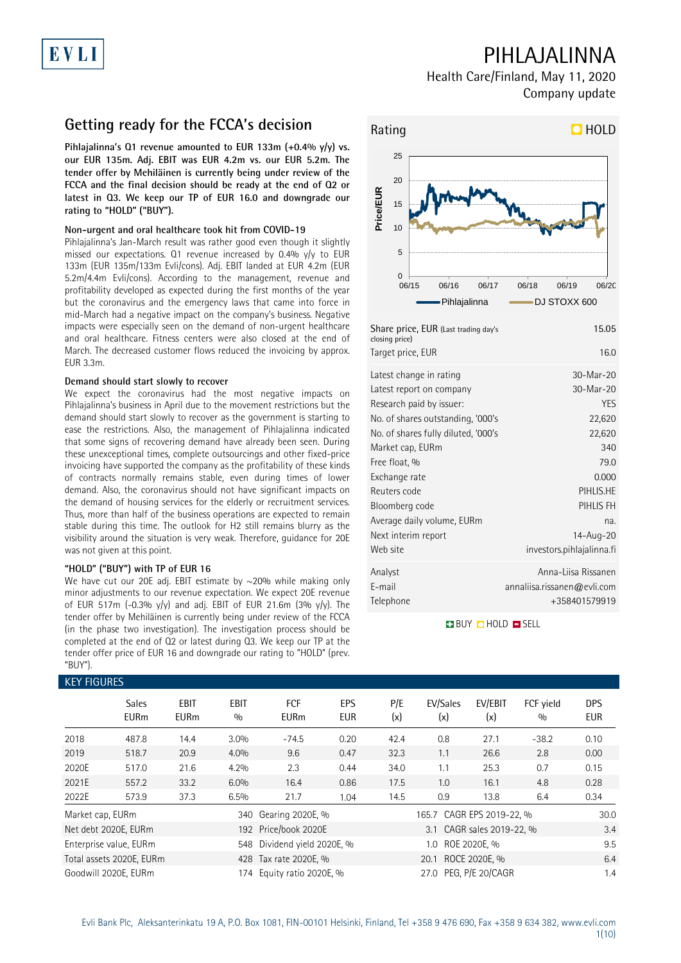# EVLI

## PIHLAJALINNA

Health Care/Finland, May 11, 2020 Company update

### **Getting ready for the FCCA's decision**

**Pihlajalinna's Q1 revenue amounted to EUR 133m (+0.4% y/y) vs. our EUR 135m. Adj. EBIT was EUR 4.2m vs. our EUR 5.2m. The tender offer by Mehiläinen is currently being under review of the FCCA and the final decision should be ready at the end of Q2 or latest in Q3. We keep our TP of EUR 16.0 and downgrade our rating to "HOLD" ("BUY").**

### **Non-urgent and oral healthcare took hit from COVID-19**

Pihlajalinna's Jan-March result was rather good even though it slightly missed our expectations. Q1 revenue increased by 0.4% y/y to EUR 133m (EUR 135m/133m Evli/cons). Adj. EBIT landed at EUR 4.2m (EUR 5.2m/4.4m Evli/cons). According to the management, revenue and profitability developed as expected during the first months of the year but the coronavirus and the emergency laws that came into force in mid-March had a negative impact on the company's business. Negative impacts were especially seen on the demand of non-urgent healthcare and oral healthcare. Fitness centers were also closed at the end of March. The decreased customer flows reduced the invoicing by approx. EUR 3.3m.

### **Demand should start slowly to recover**

We expect the coronavirus had the most negative impacts on Pihlajalinna's business in April due to the movement restrictions but the demand should start slowly to recover as the government is starting to ease the restrictions. Also, the management of Pihlajalinna indicated that some signs of recovering demand have already been seen. During these unexceptional times, complete outsourcings and other fixed-price invoicing have supported the company as the profitability of these kinds of contracts normally remains stable, even during times of lower demand. Also, the coronavirus should not have significant impacts on the demand of housing services for the elderly or recruitment services. Thus, more than half of the business operations are expected to remain stable during this time. The outlook for H2 still remains blurry as the visibility around the situation is very weak. Therefore, guidance for 20E was not given at this point.

### **"HOLD" ("BUY") with TP of EUR 16**

We have cut our 20E adj. EBIT estimate by  $\sim$ 20% while making only minor adjustments to our revenue expectation. We expect 20E revenue of EUR 517m (-0.3%  $y/y$ ) and adj. EBIT of EUR 21.6m (3%  $y/y$ ). The tender offer by Mehiläinen is currently being under review of the FCCA (in the phase two investigation). The investigation process should be completed at the end of Q2 or latest during Q3. We keep our TP at the tender offer price of EUR 16 and downgrade our rating to "HOLD" (prev. "BUY")



**BUY O HOLD O SELL** 

| <b>KEY FIGURES</b> |                             |                     |                    |                                                    |                          |            |                           |                           |                  |                          |
|--------------------|-----------------------------|---------------------|--------------------|----------------------------------------------------|--------------------------|------------|---------------------------|---------------------------|------------------|--------------------------|
|                    | <b>Sales</b><br><b>EURm</b> | EBIT<br><b>EURm</b> | <b>EBIT</b><br>0/0 | FCF<br><b>EURm</b>                                 | <b>EPS</b><br><b>EUR</b> | P/E<br>(x) | EV/Sales<br>(x)           | EV/EBIT<br>(x)            | FCF yield<br>0/0 | <b>DPS</b><br><b>EUR</b> |
| 2018               | 487.8                       | 14.4                | 3.0%               | $-74.5$                                            | 0.20                     | 42.4       | 0.8                       | 27.1                      | $-38.2$          | 0.10                     |
| 2019               | 518.7                       | 20.9                | 4.0%               | 9.6                                                | 0.47                     | 32.3       | 1.1                       | 26.6                      | 2.8              | 0.00                     |
| 2020E              | 517.0                       | 21.6                | 4.2%               | 2.3                                                | 0.44                     | 34.0       | 1.1                       | 25.3                      | 0.7              | 0.15                     |
| 2021E              | 557.2                       | 33.2                | 6.0%               | 16.4                                               | 0.86                     | 17.5       | 1.0                       | 16.1                      | 4.8              | 0.28                     |
| 2022E              | 573.9                       | 37.3                | 6.5%               | 21.7                                               | 1.04                     | 14.5       | 0.9                       | 13.8                      | 6.4              | 0.34                     |
| Market cap, EURm   |                             |                     |                    | 340 Gearing 2020E, %                               |                          |            | 165.7 CAGR EPS 2019-22, % |                           |                  | 30.0                     |
|                    | Net debt 2020E, EURm        |                     |                    | 192 Price/book 2020E                               |                          |            |                           | 3.1 CAGR sales 2019-22, % |                  | 3.4                      |
|                    | Enterprise value, EURm      |                     |                    | 548 Dividend yield 2020E, %<br>ROE 2020E, %<br>1.0 |                          |            |                           | 9.5                       |                  |                          |
|                    | Total assets 2020E, EURm    |                     |                    | 428 Tax rate 2020E, %                              |                          |            | 20.1                      | ROCE 2020E, %             |                  | 6.4                      |
|                    | Goodwill 2020E, EURm        |                     |                    | 174 Equity ratio 2020E, %                          |                          |            | 27.0 PEG, P/E 20/CAGR     |                           |                  | 1.4                      |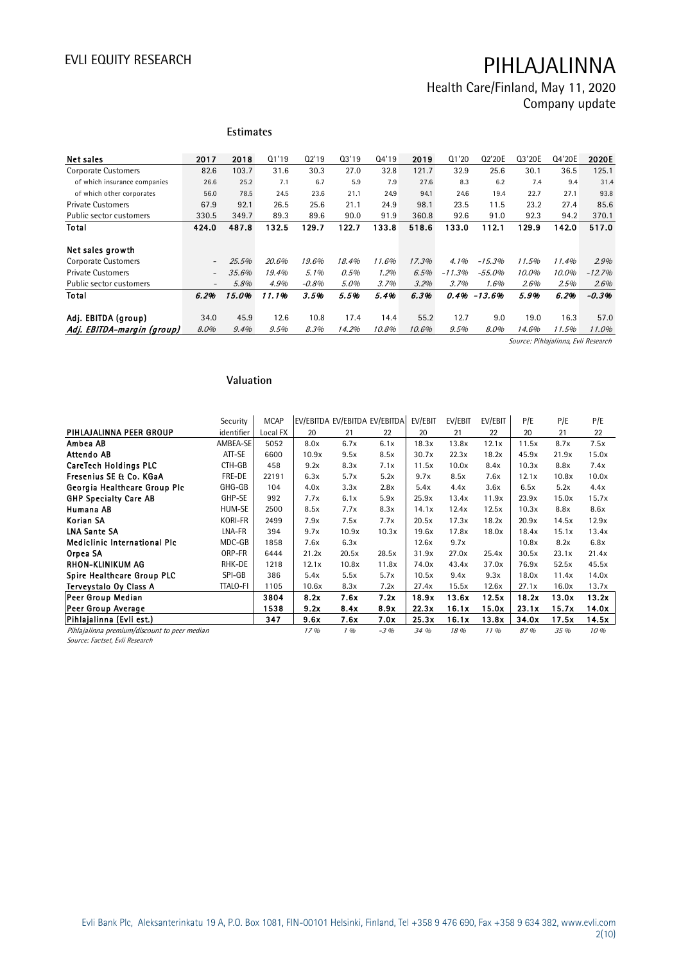Health Care/Finland, May 11, 2020 Company update

|                              |                          | <b>Estimates</b> |       |         |       |       |       |          |          |        |        |          |
|------------------------------|--------------------------|------------------|-------|---------|-------|-------|-------|----------|----------|--------|--------|----------|
| Net sales                    | 2017                     | 2018             | Q1'19 | 02'19   | 03'19 | 04'19 | 2019  | Q1'20    | Q2'20E   | Q3'20E | Q4'20E | 2020E    |
| Corporate Customers          | 82.6                     | 103.7            | 31.6  | 30.3    | 27.0  | 32.8  | 121.7 | 32.9     | 25.6     | 30.1   | 36.5   | 125.1    |
| of which insurance companies | 26.6                     | 25.2             | 7.1   | 6.7     | 5.9   | 7.9   | 27.6  | 8.3      | 6.2      | 7.4    | 9.4    | 31.4     |
| of which other corporates    | 56.0                     | 78.5             | 24.5  | 23.6    | 21.1  | 24.9  | 94.1  | 24.6     | 19.4     | 22.7   | 27.1   | 93.8     |
| <b>Private Customers</b>     | 67.9                     | 92.1             | 26.5  | 25.6    | 21.1  | 24.9  | 98.1  | 23.5     | 11.5     | 23.2   | 27.4   | 85.6     |
| Public sector customers      | 330.5                    | 349.7            | 89.3  | 89.6    | 90.0  | 91.9  | 360.8 | 92.6     | 91.0     | 92.3   | 94.2   | 370.1    |
| Total                        | 424.0                    | 487.8            | 132.5 | 129.7   | 122.7 | 133.8 | 518.6 | 133.0    | 112.1    | 129.9  | 142.0  | 517.0    |
|                              |                          |                  |       |         |       |       |       |          |          |        |        |          |
| Net sales growth             |                          |                  |       |         |       |       |       |          |          |        |        |          |
| Corporate Customers          | $\overline{\phantom{0}}$ | 25.5%            | 20.6% | 19.6%   | 18.4% | 11.6% | 17.3% | 4.1%     | $-15.3%$ | 11.5%  | 11.4%  | 2.9%     |
| <b>Private Customers</b>     | $\overline{\phantom{0}}$ | 35.6%            | 19.4% | 5.1%    | 0.5%  | 1.2%  | 6.5%  | $-11.3%$ | $-55.0%$ | 10.0%  | 10.0%  | $-12.7%$ |
| Public sector customers      | $\overline{\phantom{a}}$ | 5.8%             | 4.9%  | $-0.8%$ | 5.0%  | 3.7%  | 3.2%  | 3.7%     | 1.6%     | 2.6%   | 2.5%   | 2.6%     |
| Total                        | 6.2%                     | 15.0%            | 11.1% | 3.5%    | 5.5%  | 5.4%  | 6.3%  | 0.4%     | $-13.6%$ | 5.9%   | 6.2%   | $-0.3%$  |
|                              |                          |                  |       |         |       |       |       |          |          |        |        |          |
| Adj. EBITDA (group)          | 34.0                     | 45.9             | 12.6  | 10.8    | 17.4  | 14.4  | 55.2  | 12.7     | 9.0      | 19.0   | 16.3   | 57.0     |
| Adj. EBITDA-margin (group)   | 8.0%                     | 9.4%             | 9.5%  | 8.3%    | 14.2% | 10.8% | 10.6% | 9.5%     | 8.0%     | 14.6%  | 11.5%  | 11.0%    |

Source: Pihlajalinna, Evli Research

### **Valuation**

|                                              | Security        | <b>MCAP</b> | EV/EBITDA EV/EBITDA EV/EBITDA |       |        | EV/EBIT | EV/EBIT | EV/EBIT | P/E   | P/E   | P/E   |
|----------------------------------------------|-----------------|-------------|-------------------------------|-------|--------|---------|---------|---------|-------|-------|-------|
| PIHLAJALINNA PEER GROUP                      | identifier      | Local FX    | 20                            | 21    | 22     | 20      | 21      | 22      | 20    | 21    | 22    |
| Ambea AB                                     | AMBEA-SE        | 5052        | 8.0x                          | 6.7x  | 6.1x   | 18.3x   | 13.8x   | 12.1x   | 11.5x | 8.7x  | 7.5x  |
| Attendo AB                                   | ATT-SE          | 6600        | 10.9x                         | 9.5x  | 8.5x   | 30.7x   | 22.3x   | 18.2x   | 45.9x | 21.9x | 15.0x |
| <b>CareTech Holdings PLC</b>                 | CTH-GB          | 458         | 9.2x                          | 8.3x  | 7.1x   | 11.5x   | 10.0x   | 8.4x    | 10.3x | 8.8x  | 7.4x  |
| Fresenius SE & Co. KGaA                      | FRE-DE          | 22191       | 6.3x                          | 5.7x  | 5.2x   | 9.7x    | 8.5x    | 7.6x    | 12.1x | 10.8x | 10.0x |
| Georgia Healthcare Group Plc                 | GHG-GB          | 104         | 4.0x                          | 3.3x  | 2.8x   | 5.4x    | 4.4x    | 3.6x    | 6.5x  | 5.2x  | 4.4x  |
| <b>GHP Specialty Care AB</b>                 | GHP-SE          | 992         | 7.7x                          | 6.1x  | 5.9x   | 25.9x   | 13.4x   | 11.9x   | 23.9x | 15.0x | 15.7x |
| Humana AB                                    | HUM-SE          | 2500        | 8.5x                          | 7.7x  | 8.3x   | 14.1x   | 12.4x   | 12.5x   | 10.3x | 8.8x  | 8.6x  |
| Korian SA                                    | KORI-FR         | 2499        | 7.9x                          | 7.5x  | 7.7x   | 20.5x   | 17.3x   | 18.2x   | 20.9x | 14.5x | 12.9x |
| <b>LNA Sante SA</b>                          | LNA-FR          | 394         | 9.7x                          | 10.9x | 10.3x  | 19.6x   | 17.8x   | 18.0x   | 18.4x | 15.1x | 13.4x |
| <b>Mediclinic International Plc</b>          | MDC-GB          | 1858        | 7.6x                          | 6.3x  |        | 12.6x   | 9.7x    |         | 10.8x | 8.2x  | 6.8x  |
| Orpea SA                                     | ORP-FR          | 6444        | 21.2x                         | 20.5x | 28.5x  | 31.9x   | 27.0x   | 25.4x   | 30.5x | 23.1x | 21.4x |
| RHON-KLINIKUM AG                             | RHK-DE          | 1218        | 12.1x                         | 10.8x | 11.8x  | 74.0x   | 43.4x   | 37.0x   | 76.9x | 52.5x | 45.5x |
| Spire Healthcare Group PLC                   | SPI-GB          | 386         | 5.4x                          | 5.5x  | 5.7x   | 10.5x   | 9.4x    | 9.3x    | 18.0x | 11.4x | 14.0x |
| Terveystalo Oy Class A                       | <b>TTALO-FI</b> | 1105        | 10.6x                         | 8.3x  | 7.2x   | 27.4x   | 15.5x   | 12.6x   | 27.1x | 16.0x | 13.7x |
| Peer Group Median                            |                 | 3804        | 8.2x                          | 7.6x  | 7.2x   | 18.9x   | 13.6x   | 12.5x   | 18.2x | 13.0x | 13.2x |
| Peer Group Average                           |                 | 1538        | 9.2x                          | 8.4x  | 8.9x   | 22.3x   | 16.1x   | 15.0x   | 23.1x | 15.7x | 14.0x |
| Pihlajalinna (Evli est.)                     |                 | 347         | 9.6x                          | 7.6x  | 7.0x   | 25.3x   | 16.1x   | 13.8x   | 34.0x | 17.5x | 14.5x |
| Pihlajalinna premium/discount to peer median |                 |             | 17%                           | 1%    | $-3\%$ | 34 %    | 18 %    | $11\%$  | 87 %  | 35 %  | 10%   |

Source: Factset, Evli Research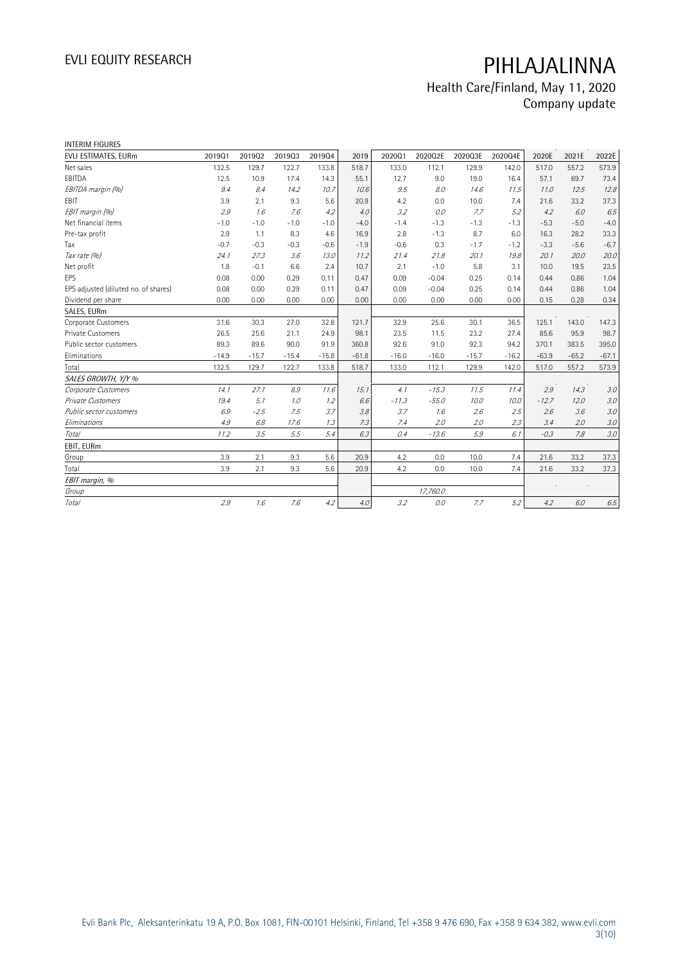## Health Care/Finland, May 11, 2020 Company update

| <b>INTERIM FIGURES</b>               |         |         |         |         |         |         |          |         |         |         |         |         |
|--------------------------------------|---------|---------|---------|---------|---------|---------|----------|---------|---------|---------|---------|---------|
| EVLI ESTIMATES, EURm                 | 201901  | 201902  | 201903  | 201904  | 2019    | 202001  | 2020Q2E  | 2020Q3E | 2020Q4E | 2020E   | 2021E   | 2022E   |
| Net sales                            | 132.5   | 129.7   | 122.7   | 133.8   | 518.7   | 133.0   | 112.1    | 129.9   | 142.0   | 517.0   | 557.2   | 573.9   |
| EBITDA                               | 12.5    | 10.9    | 17.4    | 14.3    | 55.1    | 12.7    | 9.0      | 19.0    | 16.4    | 57.1    | 69.7    | 73.4    |
| EBITDA margin (%)                    | 9.4     | 8.4     | 14.2    | 10.7    | 10.6    | 9.5     | 8.0      | 14.6    | 11.5    | 11.0    | 12.5    | 12.8    |
| EBIT                                 | 3.9     | 2.1     | 9.3     | 5.6     | 20.9    | 4.2     | 0.0      | 10.0    | 7.4     | 21.6    | 33.2    | 37.3    |
| EBIT margin (%)                      | 2.9     | 1.6     | 7.6     | 4.2     | 4.0     | 3.2     | 0.0      | 7.7     | 5.2     | 4.2     | 6.0     | 6.5     |
| Net financial items                  | $-1.0$  | $-1.0$  | $-1.0$  | $-1.0$  | $-4.0$  | $-1.4$  | $-1.3$   | $-1.3$  | $-1.3$  | $-5.3$  | $-5.0$  | $-4.0$  |
| Pre-tax profit                       | 2.9     | 1.1     | 8.3     | 4.6     | 16.9    | 2.8     | $-1.3$   | 8.7     | 6.0     | 16.3    | 28.2    | 33.3    |
| Tax                                  | $-0.7$  | $-0.3$  | $-0.3$  | $-0.6$  | $-1.9$  | $-0.6$  | 0.3      | $-1.7$  | $-1.2$  | $-3.3$  | $-5.6$  | $-6.7$  |
| Tax rate (%)                         | 24.1    | 27.3    | 3.6     | 13.0    | 11.2    | 21.4    | 21.8     | 20.1    | 19.8    | 20.1    | 20.0    | 20.0    |
| Net profit                           | 1.8     | $-0.1$  | 6.6     | 2.4     | 10.7    | 2.1     | $-1.0$   | 5.8     | 3.1     | 10.0    | 19.5    | 23.5    |
| EPS                                  | 0.08    | 0.00    | 0.29    | 0.11    | 0.47    | 0.09    | $-0.04$  | 0.25    | 0.14    | 0.44    | 0.86    | 1.04    |
| EPS adjusted (diluted no. of shares) | 0.08    | 0.00    | 0.29    | 0.11    | 0.47    | 0.09    | $-0.04$  | 0.25    | 0.14    | 0.44    | 0.86    | 1.04    |
| Dividend per share                   | 0.00    | 0.00    | 0.00    | 0.00    | 0.00    | 0.00    | 0.00     | 0.00    | 0.00    | 0.15    | 0.28    | 0.34    |
| SALES, EURm                          |         |         |         |         |         |         |          |         |         |         |         |         |
| Corporate Customers                  | 31.6    | 30.3    | 27.0    | 32.8    | 121.7   | 32.9    | 25.6     | 30.1    | 36.5    | 125.1   | 143.0   | 147.3   |
| Private Customers                    | 26.5    | 25.6    | 21.1    | 24.9    | 98.1    | 23.5    | 11.5     | 23.2    | 27.4    | 85.6    | 95.9    | 98.7    |
| Public sector customers              | 89.3    | 89.6    | 90.0    | 91.9    | 360.8   | 92.6    | 91.0     | 92.3    | 94.2    | 370.1   | 383.5   | 395.0   |
| Eliminations                         | $-14.9$ | $-15.7$ | $-15.4$ | $-15.8$ | $-61.8$ | $-16.0$ | $-16.0$  | $-15.7$ | $-16.2$ | $-63.9$ | $-65.2$ | $-67.1$ |
| Total                                | 132.5   | 129.7   | 122.7   | 133.8   | 518.7   | 133.0   | 112.1    | 129.9   | 142.0   | 517.0   | 557.2   | 573.9   |
| SALES GROWTH, Y/Y %                  |         |         |         |         |         |         |          |         |         |         |         |         |
| Corporate Customers                  | 14.1    | 27.1    | $8.9\,$ | 11.6    | 15.1    | 4.1     | $-15.3$  | 11.5    | 11.4    | 2.9     | 14.3    | 3.0     |
| Private Customers                    | 19.4    | 5.1     | 1.0     | 1.2     | 6.6     | $-11.3$ | $-55.0$  | 10.0    | 10.0    | $-12.7$ | 12.0    | 3.0     |
| Public sector customers              | 6.9     | $-2.5$  | 7.5     | 3.7     | 3.8     | 3.7     | 1.6      | 2.6     | 2.5     | 2.6     | 3.6     | 3.0     |
| Eliminations                         | 4.9     | 6.8     | 17.6    | 1.3     | 7.3     | 7.4     | 2.0      | 2.0     | 2.3     | 3.4     | 2.0     | 3.0     |
| Total                                | 11.2    | 3.5     | 5.5     | 5.4     | 6.3     | 0.4     | $-13.6$  | 5.9     | 6.1     | $-0.3$  | 7.8     | 3.0     |
| EBIT, EURm                           |         |         |         |         |         |         |          |         |         |         |         |         |
| Group                                | 3.9     | 2.1     | 9.3     | 5.6     | 20.9    | 4.2     | 0.0      | 10.0    | 7.4     | 21.6    | 33.2    | 37.3    |
| Total                                | 3.9     | 2.1     | 9.3     | 5.6     | 20.9    | 4.2     | 0.0      | 10.0    | 7.4     | 21.6    | 33.2    | 37.3    |
| EBIT margin, %                       |         |         |         |         |         |         |          |         |         |         |         |         |
| Group                                |         |         |         |         |         |         | 17,760.0 |         |         |         |         |         |
| Total                                | 2.9     | 1.6     | 7.6     | 4.2     | 4.0     | 3.2     | 0.0      | 7.7     | 5.2     | 4.2     | 6.0     | $6.5\,$ |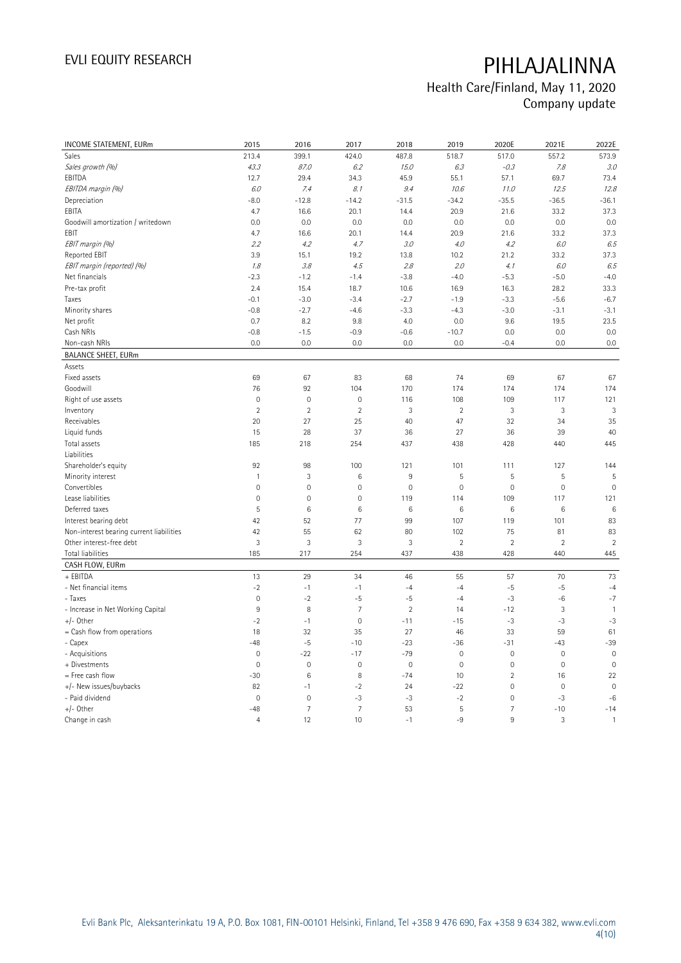## Health Care/Finland, May 11, 2020 Company update

| INCOME STATEMENT, EURm<br>2015<br>2016<br>2017<br>2018<br>2019                                          | 2020E          | 2021E          | 2022E          |
|---------------------------------------------------------------------------------------------------------|----------------|----------------|----------------|
| 213.4<br>399.1<br>424.0<br>487.8<br>518.7<br>Sales                                                      | 517.0          | 557.2          | 573.9          |
| Sales growth (%)<br>43.3<br>6.2<br>15.0<br>6.3<br>87.0                                                  | $-0.3$         | 7.8            | 3.0            |
| EBITDA<br>12.7<br>29.4<br>34.3<br>45.9<br>55.1                                                          | 57.1           | 69.7           | 73.4           |
| 8.1<br>EBITDA margin (%)<br>6.0<br>7.4<br>9.4<br>10.6                                                   | 11.0           | 12.5           | 12.8           |
| Depreciation<br>$-8.0$<br>$-12.8$<br>$-14.2$<br>$-31.5$<br>$-34.2$                                      | $-35.5$        | $-36.5$        | $-36.1$        |
| EBITA<br>4.7<br>16.6<br>20.1<br>14.4<br>20.9                                                            | 21.6           | 33.2           | 37.3           |
| Goodwill amortization / writedown<br>0.0<br>0.0<br>0.0<br>0.0<br>0.0                                    | 0.0            | 0.0            | 0.0            |
| EBIT<br>4.7<br>16.6<br>20.1<br>14.4<br>20.9                                                             | 21.6           | 33.2           | 37.3           |
| EBIT margin (%)<br>4.7<br>2.2<br>4.2<br>3.0<br>4.0                                                      | 4.2            | 6.0            | 6.5            |
| <b>Reported EBIT</b><br>10.2<br>3.9<br>15.1<br>19.2<br>13.8                                             | 21.2           | 33.2           | 37.3           |
| EBIT margin (reported) (%)<br>4.5<br>2.8<br>2.0<br>1.8<br>3.8                                           | 4.1            | 6.0            | 6.5            |
| Net financials<br>$-2.3$<br>$-1.2$<br>$-1.4$<br>$-3.8$<br>$-4.0$                                        | $-5.3$         | $-5.0$         | $-4.0$         |
| Pre-tax profit<br>15.4<br>18.7<br>16.9<br>2.4<br>10.6                                                   | 16.3           | 28.2           | 33.3           |
| $-3.4$<br>$-1.9$<br>Taxes<br>$-0.1$<br>$-3.0$<br>$-2.7$                                                 | $-3.3$         | $-5.6$         | $-6.7$         |
| Minority shares<br>$-0.8$<br>$-2.7$<br>$-4.6$<br>$-3.3$<br>$-4.3$                                       | $-3.0$         | $-3.1$         | $-3.1$         |
| 0.0<br>Net profit<br>0.7<br>8.2<br>9.8<br>4.0                                                           | 9.6            | 19.5           | 23.5           |
| Cash NRIs<br>$-0.8$<br>$-1.5$<br>$-0.9$<br>$-10.7$<br>$-0.6$                                            | 0.0            | 0.0            | 0.0            |
| Non-cash NRIs<br>0.0<br>0.0<br>0.0<br>0.0<br>0.0                                                        | $-0.4$         | 0.0            | 0.0            |
| <b>BALANCE SHEET, EURm</b>                                                                              |                |                |                |
| Assets                                                                                                  |                |                |                |
| Fixed assets<br>69<br>67<br>83<br>68<br>74                                                              | 69             | 67             | 67             |
| 174<br>Goodwill<br>76<br>92<br>104<br>170                                                               | 174            | 174            | 174            |
| $\mathbb O$<br>$\mathbf 0$<br>$\mathbf 0$<br>108<br>Right of use assets<br>116                          | 109            | 117            | 121            |
| $\overline{2}$<br>$\overline{2}$<br>$\overline{2}$<br>3<br>$\overline{2}$<br>Inventory                  | 3              | $\mathbf{3}$   | 3              |
| Receivables<br>20<br>27<br>25<br>40<br>47                                                               | 32             | 34             | 35             |
| 28<br>37<br>27<br>Liquid funds<br>15<br>36                                                              | 36             | 39             | 40             |
| Total assets<br>185<br>438<br>218<br>254<br>437                                                         | 428            | 440            | 445            |
| Liabilities                                                                                             |                |                |                |
| 101<br>Shareholder's equity<br>92<br>98<br>100<br>121                                                   | 111            | 127            | 144            |
| Minority interest<br>3<br>5<br>$\mathbf{1}$<br>6<br>9                                                   | 5              | 5              | 5              |
| Convertibles<br>$\mathsf{O}\xspace$<br>$\mathbf 0$<br>$\mathbf 0$<br>$\mathbf 0$<br>$\mathsf{O}\xspace$ | $\mathbf 0$    | $\mathbf 0$    | $\mathbf 0$    |
| Lease liabilities<br>$\mathbf 0$<br>$\mathbf 0$<br>$\mathbf 0$<br>119<br>114                            | 109            | 117            | 121            |
| 5<br>$\,6\,$<br>$6\phantom{1}6$<br>6<br>$\,6$<br>Deferred taxes                                         | $\,6$          | 6              | 6              |
| 42<br>52<br>77<br>99<br>107<br>Interest bearing debt                                                    | 119            | 101            | 83             |
| Non-interest bearing current liabilities<br>42<br>55<br>62<br>80<br>102                                 | 75             | 81             | 83             |
| 3<br>$\ensuremath{\mathsf{3}}$<br>3<br>3<br>$\overline{2}$<br>Other interest-free debt                  | $\overline{2}$ | $\overline{2}$ | $\overline{2}$ |
| <b>Total liabilities</b><br>185<br>217<br>254<br>437<br>438                                             | 428            | 440            | 445            |
| CASH FLOW, EURm                                                                                         |                |                |                |
| + EBITDA<br>13<br>29<br>34<br>46<br>55                                                                  | 57             | 70             | 73             |
| - Net financial items<br>$-2$<br>$-1$<br>$-1$<br>$-4$<br>$-4$                                           | $-5$           | $-5$           | $-4$           |
| - Taxes<br>$\mathbf 0$<br>$-2$<br>$-5$<br>$-5$<br>$-4$                                                  | $-3$           | $-6$           | $-7$           |
| 9<br>8<br>$\overline{7}$<br>$\overline{c}$<br>- Increase in Net Working Capital<br>14                   | $-12$          | $\sqrt{3}$     | $\mathbf{1}$   |
| $+/-$ Other<br>$\mathbf 0$<br>$-2$<br>$-1$<br>$-11$<br>$-15$                                            | $-3$           | $-3$           | $-3$           |
| 32<br>$=$ Cash flow from operations<br>18<br>35<br>27<br>46                                             | 33             | 59             | 61             |
| $-5$<br>- Capex<br>$-48$<br>$-10$<br>$-23$<br>$-36$                                                     | $-31$          | $-43$          | $-39$          |
| - Acquisitions<br>$\mathbf 0$<br>$-22$<br>$-17$<br>$-79$<br>$\mathbf 0$                                 | $\mathbf 0$    | $\mathbf 0$    | $\mathbf 0$    |
| $\mathbf 0$<br>$\mathbf 0$<br>$\mathbf 0$<br>$\mathbf 0$<br>+ Divestments<br>$\mathbf 0$                | $\mathbf 0$    | $\mathbf 0$    | $\mathbf 0$    |
| 8<br>$-74$<br>= Free cash flow<br>$-30$<br>6<br>10                                                      | $\sqrt{2}$     | 16             | 22             |
| +/- New issues/buybacks<br>82<br>$-2$<br>24<br>$-22$<br>$-1$                                            | $\mathbf 0$    | $\overline{0}$ | $\mathbf 0$    |
| - Paid dividend<br>$\mathbf 0$<br>$\mathbf 0$<br>$-3$<br>$-3$<br>$-2$                                   | $\mathbf 0$    | $-3$           | $-6$           |
| $\overline{7}$<br>$\overline{7}$<br>$+/-$ Other<br>5<br>$-48$<br>53                                     | $\overline{7}$ | $-10$          | $-14$          |
| $\overline{4}$<br>12<br>10<br>$-1$<br>$-9$<br>Change in cash                                            | 9              | 3              | $\mathbf{1}$   |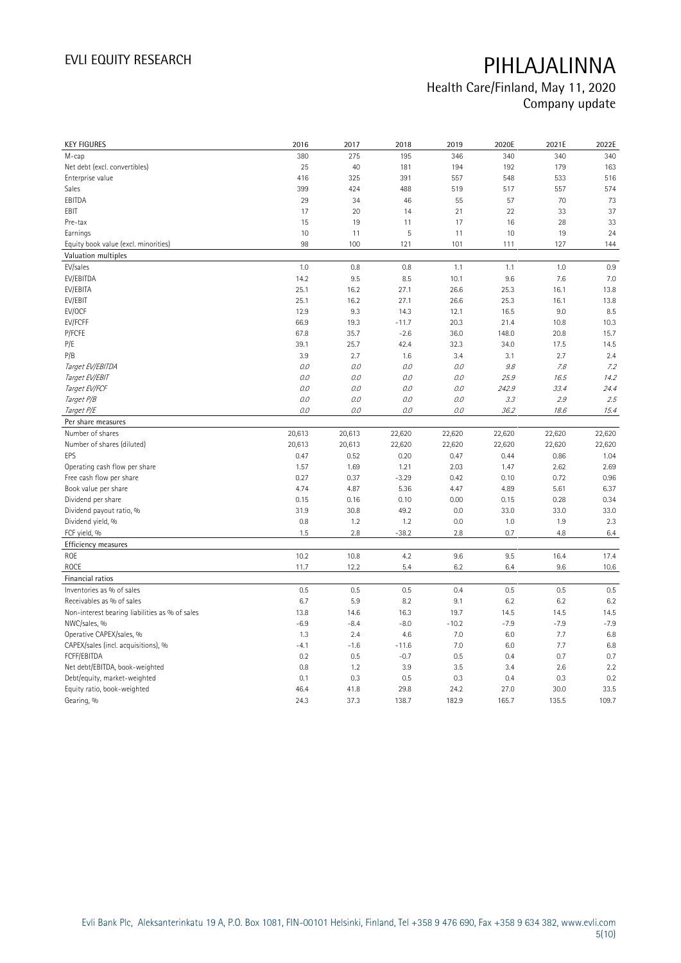## Health Care/Finland, May 11, 2020 Company update

| <b>KEY FIGURES</b>                             | 2016         | 2017         | 2018          | 2019          | 2020E         | 2021E         | 2022E         |
|------------------------------------------------|--------------|--------------|---------------|---------------|---------------|---------------|---------------|
| M-cap                                          | 380          | 275          | 195           | 346           | 340           | 340           | 340           |
| Net debt (excl. convertibles)                  | 25           | 40           | 181           | 194           | 192           | 179           | 163           |
| Enterprise value                               | 416          | 325          | 391           | 557           | 548           | 533           | 516           |
| Sales                                          | 399          | 424          | 488           | 519           | 517           | 557           | 574           |
| EBITDA                                         | 29           | 34           | 46            | 55            | 57            | 70            | 73            |
| EBIT                                           | 17           | 20           | 14            | 21            | 22            | 33            | 37            |
| Pre-tax                                        | 15           | 19           | 11            | 17            | 16            | 28            | 33            |
| Earnings                                       | 10           | 11           | 5             | 11            | 10            | 19            | 24            |
| Equity book value (excl. minorities)           | 98           | 100          | 121           | 101           | 111           | 127           | 144           |
| Valuation multiples                            |              |              |               |               |               |               |               |
| EV/sales                                       | 1.0          | 0.8          | 0.8           | 1.1           | 1.1           | 1.0           | 0.9           |
| EV/EBITDA                                      | 14.2         | 9.5          | 8.5           | 10.1          | 9.6           | 7.6           | 7.0           |
| EV/EBITA                                       | 25.1         | 16.2         | 27.1          | 26.6          | 25.3          | 16.1          | 13.8          |
| EV/EBIT                                        | 25.1         | 16.2         | 27.1          | 26.6          | 25.3          | 16.1          | 13.8          |
| EV/OCF                                         | 12.9         | 9.3          | 14.3          | 12.1          | 16.5          | 9.0           | 8.5           |
| EV/FCFF                                        | 66.9         | 19.3         | $-11.7$       | 20.3          | 21.4          | 10.8          | 10.3          |
| P/FCFE                                         | 67.8         | 35.7         | $-2.6$        | 36.0          | 148.0         | 20.8          | 15.7          |
| P/E                                            | 39.1         | 25.7         | 42.4          | 32.3          | 34.0          | 17.5          | 14.5          |
| P/B                                            | 3.9          | 2.7          | 1.6           | 3.4           | 3.1           | 2.7           | 2.4           |
| Target EV/EBITDA                               | 0.0          | 0.0          | 0.0           | 0.0           | 9.8           | 7.8           | 7.2           |
| Target EV/EBIT                                 | 0.0          | O.O          | 0.0           | 0.0           | 25.9          | 16.5          | 14.2          |
| Target EV/FCF                                  | 0.0          | 0.0          | 0.0           | 0.0           | 242.9         | 33.4          | 24.4          |
| Target P/B                                     | 0.0          | 0.0          | 0.0           | 0.0           | 3.3           | 2.9           | 2.5           |
| Target P/E                                     | 0.0          | O.O          | 0.0           | 0.0           | 36.2          | 18.6          | 15.4          |
| Per share measures                             |              |              |               |               |               |               |               |
|                                                |              |              |               |               |               |               |               |
|                                                |              |              |               |               |               |               |               |
| Number of shares                               | 20,613       | 20,613       | 22,620        | 22,620        | 22,620        | 22,620        | 22,620        |
| Number of shares (diluted)                     | 20,613       | 20,613       | 22,620        | 22,620        | 22,620        | 22,620        | 22,620        |
| EPS                                            | 0.47         | 0.52         | 0.20          | 0.47          | 0.44          | 0.86          | 1.04          |
| Operating cash flow per share                  | 1.57         | 1.69         | 1.21          | 2.03          | 1.47          | 2.62          | 2.69          |
| Free cash flow per share                       | 0.27         | 0.37         | $-3.29$       | 0.42          | 0.10          | 0.72          | 0.96          |
| Book value per share                           | 4.74         | 4.87         | 5.36          | 4.47          | 4.89          | 5.61          | 6.37          |
| Dividend per share                             | 0.15         | 0.16         | 0.10          | 0.00          | 0.15          | 0.28          | 0.34          |
| Dividend payout ratio, %                       | 31.9         | 30.8         | 49.2          | 0.0           | 33.0          | 33.0          | 33.0          |
| Dividend yield, %                              | 0.8          | 1.2          | 1.2           | 0.0           | 1.0           | 1.9           | 2.3           |
| FCF yield, %                                   | 1.5          | 2.8          | $-38.2$       | 2.8           | 0.7           | 4.8           | 6.4           |
| Efficiency measures                            |              |              |               |               |               |               |               |
| ROE                                            | 10.2         | 10.8         | 4.2           | 9.6           | 9.5           | 16.4          | 17.4          |
| ROCE                                           | 11.7         | 12.2         | 5.4           | 6.2           | 6.4           | 9.6           | 10.6          |
| Financial ratios                               |              |              |               |               |               |               |               |
| Inventories as % of sales                      | 0.5          | 0.5          | 0.5           | 0.4           | 0.5           | 0.5           | 0.5           |
| Receivables as % of sales                      | 6.7          | 5.9          | 8.2           | 9.1           | 6.2           | 6.2           | 6.2           |
| Non-interest bearing liabilities as % of sales | 13.8         | 14.6         | 16.3          | 19.7          | 14.5          | 14.5          | 14.5          |
| NWC/sales, %                                   | $-6.9$       | $-8.4$       | $-8.0$        | $-10.2$       | $-7.9$        | $-7.9$        | $-7.9$        |
| Operative CAPEX/sales, %                       | 1.3          | 2.4          | 4.6           | 7.0           | 6.0           | 7.7           | 6.8           |
| CAPEX/sales (incl. acquisitions), %            | $-4.1$       | $-1.6$       | $-11.6$       | 7.0           | 6.0           | 7.7           | 6.8           |
| FCFF/EBITDA                                    | 0.2          | 0.5          | $-0.7$        | 0.5           | 0.4           | 0.7           | 0.7           |
| Net debt/EBITDA, book-weighted                 | 0.8          | 1.2          | 3.9           | 3.5           | 3.4           | 2.6           | 2.2           |
| Debt/equity, market-weighted                   | 0.1          | 0.3          | 0.5           | 0.3           | 0.4           | 0.3           | 0.2           |
| Equity ratio, book-weighted<br>Gearing, %      | 46.4<br>24.3 | 41.8<br>37.3 | 29.8<br>138.7 | 24.2<br>182.9 | 27.0<br>165.7 | 30.0<br>135.5 | 33.5<br>109.7 |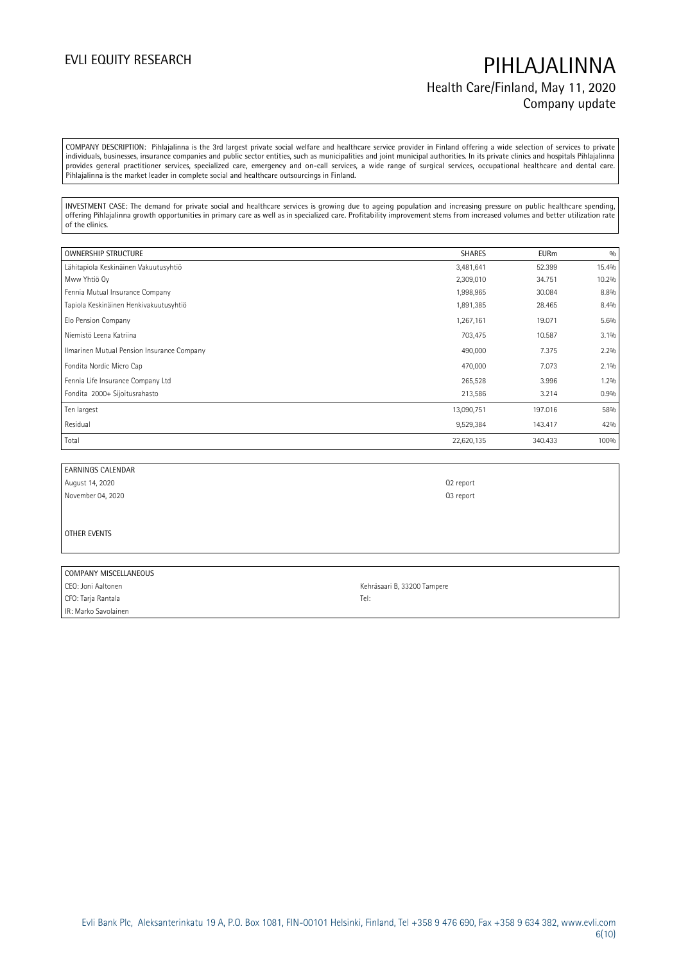## EVLI EQUITY RESEARCH **PIHLAJALINNA** Health Care/Finland, May 11, 2020 Company update

COMPANY DESCRIPTION: Pihlajalinna is the 3rd largest private social welfare and healthcare service provider in Finland offering a wide selection of services to private individuals, businesses, insurance companies and public sector entities, such as municipalities and joint municipal authorities. In its private clinics and hospitals Pihlajalinna provides general practitioner services, specialized care, emergency and on-call services, a wide range of surgical services, occupational healthcare and dental care. Pihlajalinna is the market leader in complete social and healthcare outsourcings in Finland.

INVESTMENT CASE: The demand for private social and healthcare services is growing due to ageing population and increasing pressure on public healthcare spending, offering Pihlajalinna growth opportunities in primary care as well as in specialized care. Profitability improvement stems from increased volumes and better utilization rate of the clinics.

| <b>OWNERSHIP STRUCTURE</b>                 | <b>SHARES</b> | <b>EURm</b> | 0/0     |
|--------------------------------------------|---------------|-------------|---------|
| Lähitapiola Keskinäinen Vakuutusyhtiö      | 3,481,641     | 52.399      | 15.4%   |
| Mww Yhtiö Oy                               | 2,309,010     | 34.751      | 10.2%   |
| Fennia Mutual Insurance Company            | 1,998,965     | 30.084      | 8.8%    |
| Tapiola Keskinäinen Henkivakuutusyhtiö     | 1,891,385     | 28.465      | 8.4%    |
| Elo Pension Company                        | 1,267,161     | 19.071      | 5.6%    |
| Niemistö Leena Katriina                    | 703,475       | 10.587      | 3.1%    |
| Ilmarinen Mutual Pension Insurance Company | 490,000       | 7.375       | 2.2%    |
| Fondita Nordic Micro Cap                   | 470,000       | 7.073       | $2.1\%$ |
| Fennia Life Insurance Company Ltd          | 265,528       | 3.996       | 1.2%    |
| Fondita 2000+ Sijoitusrahasto              | 213,586       | 3.214       | 0.9%    |
| Ten largest                                | 13,090,751    | 197.016     | 58%     |
| Residual                                   | 9,529,384     | 143.417     | 42%     |
| Total                                      | 22,620,135    | 340.433     | 100%    |

EARNINGS CALENDAR August 14, 2020 Q2 report November 04, 2020 Q3 report

OTHER EVENTS

| COMPANY MISCELLANEOUS |                             |
|-----------------------|-----------------------------|
| CEO: Joni Aaltonen    | Kehräsaari B, 33200 Tampere |
| CFO: Tarja Rantala    | Tel:                        |
| IR: Marko Savolainen  |                             |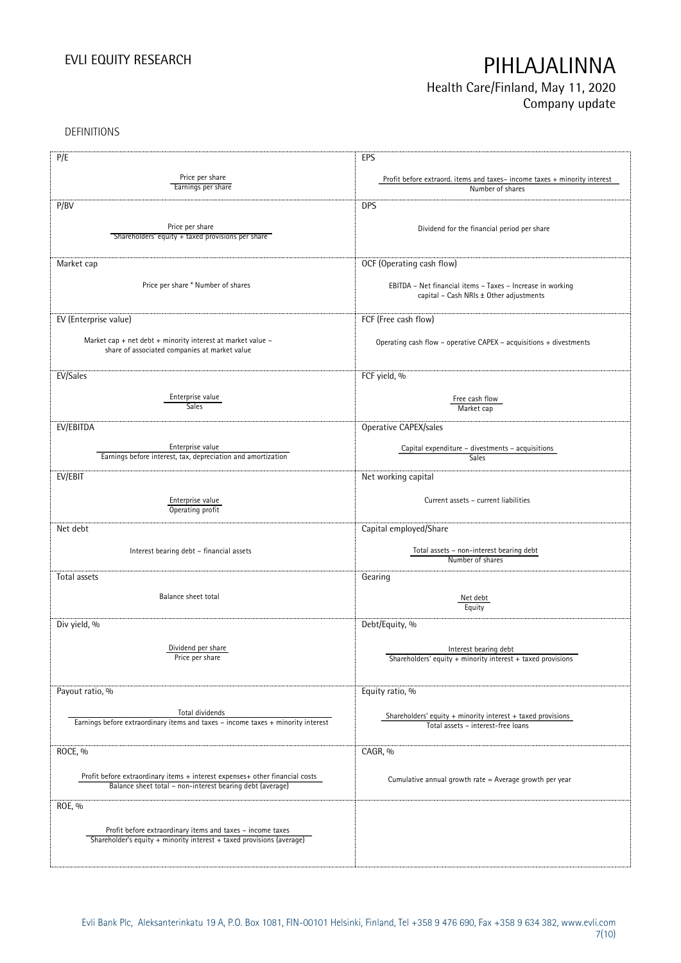## Health Care/Finland, May 11, 2020 Company update

DEFINITIONS

| P/E                                                                              | EPS                                                                                                   |
|----------------------------------------------------------------------------------|-------------------------------------------------------------------------------------------------------|
|                                                                                  |                                                                                                       |
| Price per share<br>Earnings per share                                            | Profit before extraord. items and taxes-income taxes + minority interest                              |
|                                                                                  | Number of shares                                                                                      |
| P/BV                                                                             | <b>DPS</b>                                                                                            |
|                                                                                  |                                                                                                       |
| Price per share                                                                  | Dividend for the financial period per share                                                           |
| Shareholders' equity + taxed provisions per share                                |                                                                                                       |
|                                                                                  |                                                                                                       |
| Market cap                                                                       | OCF (Operating cash flow)                                                                             |
|                                                                                  |                                                                                                       |
| Price per share * Number of shares                                               | EBITDA - Net financial items - Taxes - Increase in working                                            |
|                                                                                  | capital - Cash NRIs ± Other adjustments                                                               |
|                                                                                  |                                                                                                       |
| EV (Enterprise value)                                                            | FCF (Free cash flow)                                                                                  |
| Market cap + net debt + minority interest at market value -                      | Operating cash flow - operative CAPEX - acquisitions + divestments                                    |
| share of associated companies at market value                                    |                                                                                                       |
|                                                                                  |                                                                                                       |
| EV/Sales                                                                         | FCF yield, %                                                                                          |
|                                                                                  |                                                                                                       |
| Enterprise value                                                                 | Free cash flow                                                                                        |
| <b>Sales</b>                                                                     | Market cap                                                                                            |
|                                                                                  |                                                                                                       |
| EV/EBITDA                                                                        | Operative CAPEX/sales                                                                                 |
| Enterprise value                                                                 | Capital expenditure - divestments - acquisitions                                                      |
| Earnings before interest, tax, depreciation and amortization                     | Sales                                                                                                 |
|                                                                                  |                                                                                                       |
| EV/EBIT                                                                          | Net working capital                                                                                   |
|                                                                                  |                                                                                                       |
| Enterprise value<br>Operating profit                                             | Current assets - current liabilities                                                                  |
|                                                                                  |                                                                                                       |
| Net debt                                                                         | Capital employed/Share                                                                                |
|                                                                                  |                                                                                                       |
| Interest bearing debt - financial assets                                         | Total assets - non-interest bearing debt                                                              |
|                                                                                  | Number of shares                                                                                      |
| Total assets                                                                     | Gearing                                                                                               |
|                                                                                  |                                                                                                       |
| Balance sheet total                                                              | Net debt                                                                                              |
|                                                                                  | Equity                                                                                                |
| Div yield, %                                                                     | Debt/Equity, %                                                                                        |
|                                                                                  |                                                                                                       |
| Dividend per share                                                               | Interest bearing debt                                                                                 |
| Price per share                                                                  | Shareholders' equity $+$ minority interest $+$ taxed provisions                                       |
|                                                                                  |                                                                                                       |
|                                                                                  |                                                                                                       |
| Payout ratio, %                                                                  | Equity ratio, %                                                                                       |
| Total dividends                                                                  |                                                                                                       |
| Earnings before extraordinary items and taxes - income taxes + minority interest | Shareholders' equity $+$ minority interest $+$ taxed provisions<br>Total assets - interest-free loans |
|                                                                                  |                                                                                                       |
|                                                                                  |                                                                                                       |
| ROCE, %                                                                          | CAGR, %                                                                                               |
|                                                                                  |                                                                                                       |
| Profit before extraordinary items + interest expenses+ other financial costs     | Cumulative annual growth rate = Average growth per year                                               |
| Balance sheet total - non-interest bearing debt (average)                        |                                                                                                       |
| ROE, %                                                                           |                                                                                                       |
|                                                                                  |                                                                                                       |
| Profit before extraordinary items and taxes - income taxes                       |                                                                                                       |
| Shareholder's equity + minority interest + taxed provisions (average)            |                                                                                                       |
|                                                                                  |                                                                                                       |
|                                                                                  |                                                                                                       |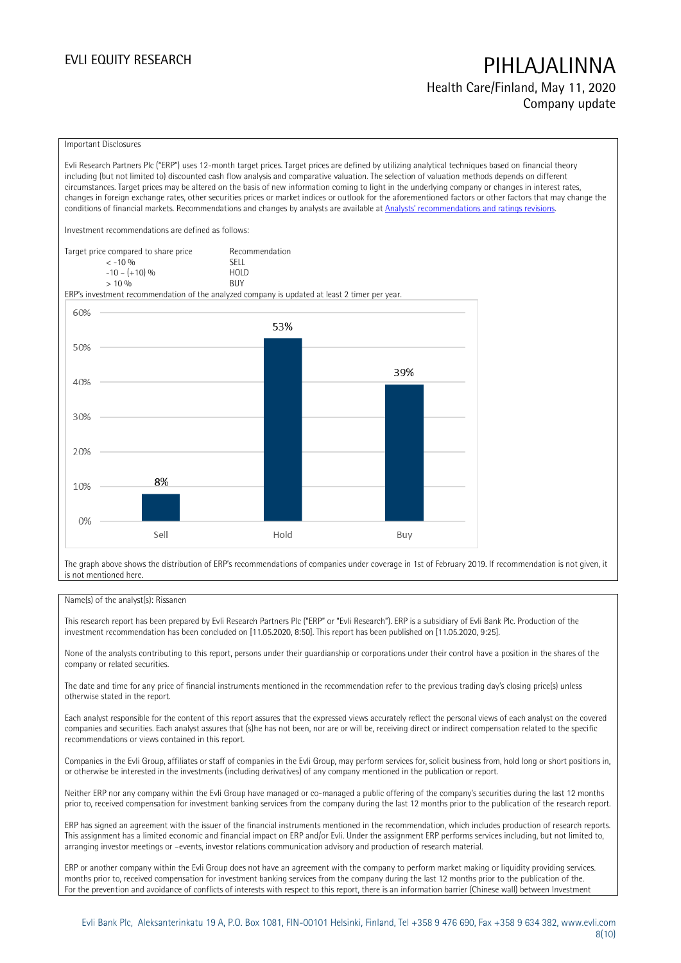Health Care/Finland, May 11, 2020 Company update

### Important Disclosures

Evli Research Partners Plc ("ERP") uses 12-month target prices. Target prices are defined by utilizing analytical techniques based on financial theory including (but not limited to) discounted cash flow analysis and comparative valuation. The selection of valuation methods depends on different circumstances. Target prices may be altered on the basis of new information coming to light in the underlying company or changes in interest rates, changes in foreign exchange rates, other securities prices or market indices or outlook for the aforementioned factors or other factors that may change the conditions of financial markets. Recommendations and changes by analysts are available at [Analysts' recommendations and ratings revisions](https://research.evli.com/JasperAllModels.action?authParam=key;461&authParam=x;G3rNagWrtf7K&authType=3).

Investment recommendations are defined as follows:

| Target price compared to share price | Recommendation                |
|--------------------------------------|-------------------------------|
| $<-10.96$                            | <b>SELL</b>                   |
| $-10 - (+10)$ %                      | H <sub>O</sub> I <sub>D</sub> |
| $> 10\%$                             | <b>BUY</b>                    |

ERP's investment recommendation of the analyzed company is updated at least 2 timer per year.



The graph above shows the distribution of ERP's recommendations of companies under coverage in 1st of February 2019. If recommendation is not given, it is not mentioned here.

### Name(s) of the analyst(s): Rissanen

This research report has been prepared by Evli Research Partners Plc ("ERP" or "Evli Research"). ERP is a subsidiary of Evli Bank Plc. Production of the investment recommendation has been concluded on [11.05.2020, 8:50]. This report has been published on [11.05.2020, 9:25].

None of the analysts contributing to this report, persons under their guardianship or corporations under their control have a position in the shares of the company or related securities.

The date and time for any price of financial instruments mentioned in the recommendation refer to the previous trading day's closing price(s) unless otherwise stated in the report.

Each analyst responsible for the content of this report assures that the expressed views accurately reflect the personal views of each analyst on the covered companies and securities. Each analyst assures that (s)he has not been, nor are or will be, receiving direct or indirect compensation related to the specific recommendations or views contained in this report.

Companies in the Evli Group, affiliates or staff of companies in the Evli Group, may perform services for, solicit business from, hold long or short positions in, or otherwise be interested in the investments (including derivatives) of any company mentioned in the publication or report.

Neither ERP nor any company within the Evli Group have managed or co-managed a public offering of the company's securities during the last 12 months prior to, received compensation for investment banking services from the company during the last 12 months prior to the publication of the research report.

ERP has signed an agreement with the issuer of the financial instruments mentioned in the recommendation, which includes production of research reports. This assignment has a limited economic and financial impact on ERP and/or Evli. Under the assignment ERP performs services including, but not limited to, arranging investor meetings or –events, investor relations communication advisory and production of research material.

ERP or another company within the Evli Group does not have an agreement with the company to perform market making or liquidity providing services. months prior to, received compensation for investment banking services from the company during the last 12 months prior to the publication of the. For the prevention and avoidance of conflicts of interests with respect to this report, there is an information barrier (Chinese wall) between Investment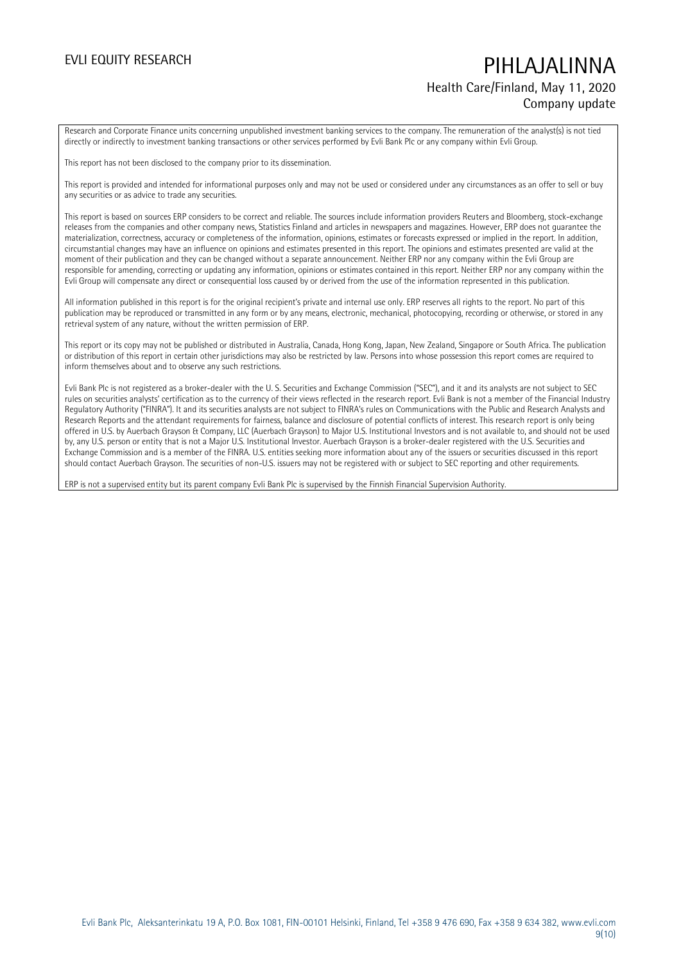## EVLI EQUITY RESEARCH PIHLAJALINNA Health Care/Finland, May 11, 2020 Company update

Research and Corporate Finance units concerning unpublished investment banking services to the company. The remuneration of the analyst(s) is not tied directly or indirectly to investment banking transactions or other services performed by Evli Bank Plc or any company within Evli Group.

This report has not been disclosed to the company prior to its dissemination.

This report is provided and intended for informational purposes only and may not be used or considered under any circumstances as an offer to sell or buy any securities or as advice to trade any securities.

This report is based on sources ERP considers to be correct and reliable. The sources include information providers Reuters and Bloomberg, stock-exchange releases from the companies and other company news, Statistics Finland and articles in newspapers and magazines. However, ERP does not guarantee the materialization, correctness, accuracy or completeness of the information, opinions, estimates or forecasts expressed or implied in the report. In addition, circumstantial changes may have an influence on opinions and estimates presented in this report. The opinions and estimates presented are valid at the moment of their publication and they can be changed without a separate announcement. Neither ERP nor any company within the Evli Group are responsible for amending, correcting or updating any information, opinions or estimates contained in this report. Neither ERP nor any company within the Evli Group will compensate any direct or consequential loss caused by or derived from the use of the information represented in this publication.

All information published in this report is for the original recipient's private and internal use only. ERP reserves all rights to the report. No part of this publication may be reproduced or transmitted in any form or by any means, electronic, mechanical, photocopying, recording or otherwise, or stored in any retrieval system of any nature, without the written permission of ERP.

This report or its copy may not be published or distributed in Australia, Canada, Hong Kong, Japan, New Zealand, Singapore or South Africa. The publication or distribution of this report in certain other jurisdictions may also be restricted by law. Persons into whose possession this report comes are required to inform themselves about and to observe any such restrictions.

Evli Bank Plc is not registered as a broker-dealer with the U. S. Securities and Exchange Commission ("SEC"), and it and its analysts are not subject to SEC rules on securities analysts' certification as to the currency of their views reflected in the research report. Evli Bank is not a member of the Financial Industry Regulatory Authority ("FINRA"). It and its securities analysts are not subject to FINRA's rules on Communications with the Public and Research Analysts and Research Reports and the attendant requirements for fairness, balance and disclosure of potential conflicts of interest. This research report is only being offered in U.S. by Auerbach Grayson & Company, LLC (Auerbach Grayson) to Major U.S. Institutional Investors and is not available to, and should not be used by, any U.S. person or entity that is not a Major U.S. Institutional Investor. Auerbach Grayson is a broker-dealer registered with the U.S. Securities and Exchange Commission and is a member of the FINRA. U.S. entities seeking more information about any of the issuers or securities discussed in this report should contact Auerbach Grayson. The securities of non-U.S. issuers may not be registered with or subject to SEC reporting and other requirements.

ERP is not a supervised entity but its parent company Evli Bank Plc is supervised by the Finnish Financial Supervision Authority.